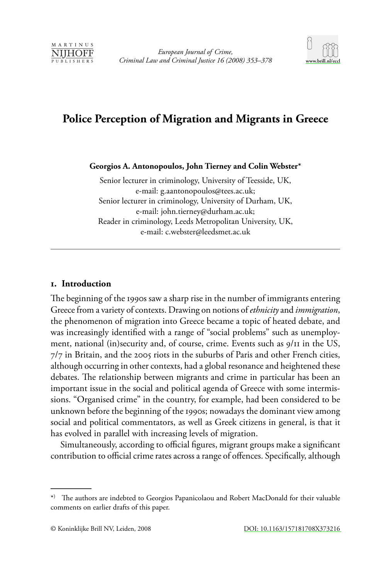

# Police Perception of Migration and Migrants in Greece

#### Georgios A. Antonopoulos, John Tierney and Colin Webster\*

Senior lecturer in criminology, University of Teesside, UK, e-mail: g.aantonopoulos@tees.ac.uk; Senior lecturer in criminology, University of Durham, UK, e-mail: john.tierney@durham.ac.uk; Reader in criminology, Leeds Metropolitan University, UK, e-mail: c.webster@leedsmet.ac.uk

### I. Introduction

The beginning of the 1990s saw a sharp rise in the number of immigrants entering Greece from a variety of contexts. Drawing on notions of ethnicity and immigration, the phenomenon of migration into Greece became a topic of heated debate, and was increasingly identified with a range of "social problems" such as unemployment, national (in)security and, of course, crime. Events such as 9/11 in the US, 7/7 in Britain, and the 2005 riots in the suburbs of Paris and other French cities, although occurring in other contexts, had a global resonance and heightened these debates. The relationship between migrants and crime in particular has been an important issue in the social and political agenda of Greece with some intermissions. "Organised crime" in the country, for example, had been considered to be unknown before the beginning of the 1990s; nowadays the dominant view among social and political commentators, as well as Greek citizens in general, is that it has evolved in parallel with increasing levels of migration.

Simultaneously, according to official figures, migrant groups make a significant contribution to official crime rates across a range of offences. Specifically, although

<sup>\*)</sup> The authors are indebted to Georgios Papanicolaou and Robert MacDonald for their valuable comments on earlier drafts of this paper.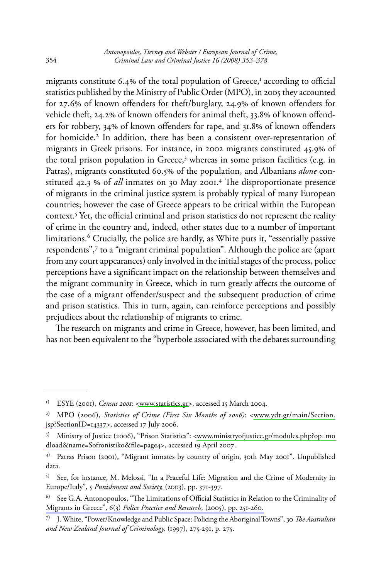migrants constitute 6.4% of the total population of Greece,<sup>1</sup> according to official statistics published by the Ministry of Public Order (MPO), in 2005 they accounted for 27.6% of known offenders for theft/burglary, 24.9% of known offenders for vehicle theft, 24.2% of known offenders for animal theft, 33.8% of known offenders for robbery, 34% of known offenders for rape, and 31.8% of known offenders for homicide.<sup>2</sup> In addition, there has been a consistent over-representation of migrants in Greek prisons. For instance, in 2002 migrants constituted 45.9% of the total prison population in Greece,<sup>3</sup> whereas in some prison facilities (e.g. in Patras), migrants constituted 60.5% of the population, and Albanians alone constituted 42.3 % of all inmates on 30 May 2001.<sup>4</sup> The disproportionate presence of migrants in the criminal justice system is probably typical of many European countries; however the case of Greece appears to be critical within the European context.<sup>5</sup> Yet, the official criminal and prison statistics do not represent the reality of crime in the country and, indeed, other states due to a number of important limitations.<sup>6</sup> Crucially, the police are hardly, as White puts it, "essentially passive respondents",7 to a "migrant criminal population". Although the police are (apart from any court appearances) only involved in the initial stages of the process, police perceptions have a significant impact on the relationship between themselves and the migrant community in Greece, which in turn greatly affects the outcome of the case of a migrant offender/suspect and the subsequent production of crime and prison statistics. This in turn, again, can reinforce perceptions and possibly prejudices about the relationship of migrants to crime.

The research on migrants and crime in Greece, however, has been limited, and has not been equivalent to the "hyperbole associated with the debates surrounding

I) ESYE (2001), Census 2001: < www.statistics.gr>, accessed 15 March 2004.

MPO (2006), Statistics of Crime (First Six Months of 2006): <www.ydt.gr/main/Section.  $_{2)}$ jsp?SectionID=14337>, accessed 17 July 2006.

Ministry of Justice (2006), "Prison Statistics": <www.ministryofjustice.gr/modules.php?op=mo  $3)$ dload&name=Sofronistiko&file=page4>, accessed 19 April 2007.

<sup>&</sup>lt;sup>4)</sup> Patras Prison (2001), "Migrant inmates by country of origin, 30th May 2001". Unpublished data.

<sup>5)</sup> See, for instance, M. Melossi, "In a Peaceful Life: Migration and the Crime of Modernity in Europe/Italy", 5 Punishment and Society, (2003), pp. 371-397.

See G.A. Antonopoulos, "The Limitations of Official Statistics in Relation to the Criminality of Migrants in Greece", 6(3) Police Practice and Research, (2005), pp. 251-260.

J. White, "Power/Knowledge and Public Space: Policing the Aboriginal Towns", 30 The Australian 7) and New Zealand Journal of Criminology, (1997), 275-291, p. 275.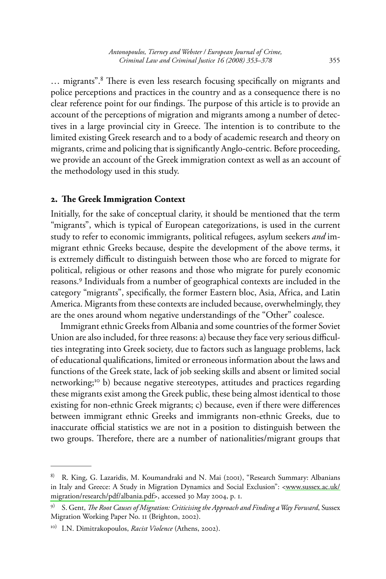... migrants".<sup>8</sup> There is even less research focusing specifically on migrants and police perceptions and practices in the country and as a consequence there is no clear reference point for our findings. The purpose of this article is to provide an account of the perceptions of migration and migrants among a number of detectives in a large provincial city in Greece. The intention is to contribute to the limited existing Greek research and to a body of academic research and theory on migrants, crime and policing that is significantly Anglo-centric. Before proceeding, we provide an account of the Greek immigration context as well as an account of the methodology used in this study.

### 2. The Greek Immigration Context

Initially, for the sake of conceptual clarity, it should be mentioned that the term "migrants", which is typical of European categorizations, is used in the current study to refer to economic immigrants, political refugees, asylum seekers and immigrant ethnic Greeks because, despite the development of the above terms, it is extremely difficult to distinguish between those who are forced to migrate for political, religious or other reasons and those who migrate for purely economic reasons.<sup>9</sup> Individuals from a number of geographical contexts are included in the category "migrants", specifically, the former Eastern bloc, Asia, Africa, and Latin America. Migrants from these contexts are included because, overwhelmingly, they are the ones around whom negative understandings of the "Other" coalesce.

Immigrant ethnic Greeks from Albania and some countries of the former Soviet Union are also included, for three reasons: a) because they face very serious difficulties integrating into Greek society, due to factors such as language problems, lack of educational qualifications, limited or erroneous information about the laws and functions of the Greek state, lack of job seeking skills and absent or limited social networking;<sup>10</sup> b) because negative stereotypes, attitudes and practices regarding these migrants exist among the Greek public, these being almost identical to those existing for non-ethnic Greek migrants; c) because, even if there were differences between immigrant ethnic Greeks and immigrants non-ethnic Greeks, due to inaccurate official statistics we are not in a position to distinguish between the two groups. Therefore, there are a number of nationalities/migrant groups that

<sup>8)</sup> R. King, G. Lazaridis, M. Koumandraki and N. Mai (2001), "Research Summary: Albanians in Italy and Greece: A Study in Migration Dynamics and Social Exclusion": <www.sussex.ac.uk/ migration/research/pdf/albania.pdf>, accessed 30 May 2004, p. 1.

<sup>9)</sup> S. Gent, The Root Causes of Migration: Criticising the Approach and Finding a Way Forward, Sussex Migration Working Paper No. II (Brighton, 2002).

IO) I.N. Dimitrakopoulos, Racist Violence (Athens, 2002).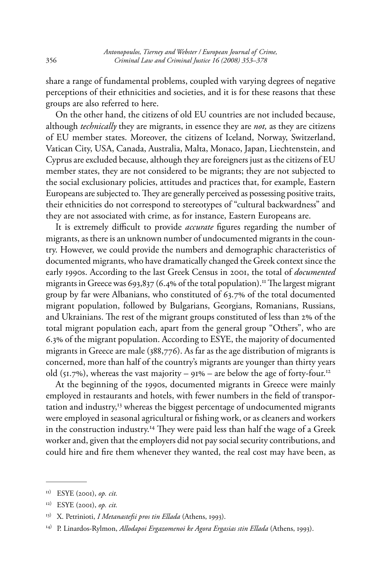share a range of fundamental problems, coupled with varying degrees of negative perceptions of their ethnicities and societies, and it is for these reasons that these groups are also referred to here.

On the other hand, the citizens of old EU countries are not included because, although technically they are migrants, in essence they are not, as they are citizens of EU member states. Moreover, the citizens of Iceland, Norway, Switzerland, Vatican City, USA, Canada, Australia, Malta, Monaco, Japan, Liechtenstein, and Cyprus are excluded because, although they are foreigners just as the citizens of EU member states, they are not considered to be migrants; they are not subjected to the social exclusionary policies, attitudes and practices that, for example, Eastern Europeans are subjected to. They are generally perceived as possessing positive traits, their ethnicities do not correspond to stereotypes of "cultural backwardness" and they are not associated with crime, as for instance, Eastern Europeans are.

It is extremely difficult to provide *accurate* figures regarding the number of migrants, as there is an unknown number of undocumented migrants in the country. However, we could provide the numbers and demographic characteristics of documented migrants, who have dramatically changed the Greek context since the early 1990s. According to the last Greek Census in 2001, the total of *documented* migrants in Greece was 693,837 (6.4% of the total population).<sup>11</sup> The largest migrant group by far were Albanians, who constituted of 63.7% of the total documented migrant population, followed by Bulgarians, Georgians, Romanians, Russians, and Ukrainians. The rest of the migrant groups constituted of less than 2% of the total migrant population each, apart from the general group "Others", who are 6.3% of the migrant population. According to ESYE, the majority of documented migrants in Greece are male (388,776). As far as the age distribution of migrants is concerned, more than half of the country's migrants are younger than thirty years old (51.7%), whereas the vast majority –  $91\%$  – are below the age of forty-four.<sup>12</sup>

At the beginning of the 1990s, documented migrants in Greece were mainly employed in restaurants and hotels, with fewer numbers in the field of transportation and industry,<sup>13</sup> whereas the biggest percentage of undocumented migrants were employed in seasonal agricultural or fishing work, or as cleaners and workers in the construction industry.<sup>14</sup> They were paid less than half the wage of a Greek worker and, given that the employers did not pay social security contributions, and could hire and fire them whenever they wanted, the real cost may have been, as

 $_{\rm II})$ ESYE (2001), op. cit.

ESYE (2001), op. cit. 12)

<sup>13)</sup> X. Petrinioti, I Metanastefsi pros tin Ellada (Athens, 1993).

P. Linardos-Rylmon, Allodapoi Ergazomenoi ke Agora Ergasias stin Ellada (Athens, 1993). 14)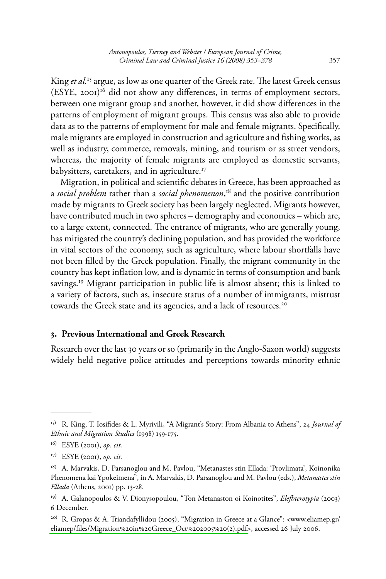King et al.<sup>15</sup> argue, as low as one quarter of the Greek rate. The latest Greek census (ESYE, 2001)<sup>16</sup> did not show any differences, in terms of employment sectors, between one migrant group and another, however, it did show differences in the patterns of employment of migrant groups. This census was also able to provide data as to the patterns of employment for male and female migrants. Specifically, male migrants are employed in construction and agriculture and fishing works, as well as industry, commerce, removals, mining, and tourism or as street vendors, whereas, the majority of female migrants are employed as domestic servants, babysitters, caretakers, and in agriculture.<sup>17</sup>

Migration, in political and scientific debates in Greece, has been approached as a social problem rather than a social phenomenon,<sup>18</sup> and the positive contribution made by migrants to Greek society has been largely neglected. Migrants however, have contributed much in two spheres - demography and economics - which are, to a large extent, connected. The entrance of migrants, who are generally young, has mitigated the country's declining population, and has provided the workforce in vital sectors of the economy, such as agriculture, where labour shortfalls have not been filled by the Greek population. Finally, the migrant community in the country has kept inflation low, and is dynamic in terms of consumption and bank savings.<sup>19</sup> Migrant participation in public life is almost absent; this is linked to a variety of factors, such as, insecure status of a number of immigrants, mistrust towards the Greek state and its agencies, and a lack of resources.<sup>20</sup>

### 3. Previous International and Greek Research

Research over the last 30 years or so (primarily in the Anglo-Saxon world) suggests widely held negative police attitudes and perceptions towards minority ethnic

<sup>&</sup>lt;sup>15)</sup> R. King, T. Iosifides & L. Myrivili, "A Migrant's Story: From Albania to Athens", 24 Journal of Ethnic and Migration Studies (1998) 159-175.

<sup>16)</sup> ESYE (2001), op. cit.

 $F(7)$  ESYE (2001), op. cit.

<sup>18)</sup> A. Marvakis, D. Parsanoglou and M. Pavlou, "Metanastes stin Ellada: 'Provlimata', Koinonika Phenomena kai Ypokeimena", in A. Marvakis, D. Parsanoglou and M. Pavlou (eds.), Metanastes stin Ellada (Athens, 2001) pp. 13-28.

<sup>&</sup>lt;sup>19)</sup> A. Galanopoulos & V. Dionysopoulou, "Ton Metanaston oi Koinotites", Elefhterotypia (2003) 6 December.

<sup>&</sup>lt;sup>20)</sup> R. Gropas & A. Triandafyllidou (2005), "Migration in Greece at a Glance": <www.eliamep.gr/ eliamep/files/Migration%20in%20Greece\_Oct%202005%20(2).pdf>, accessed 26 July 2006.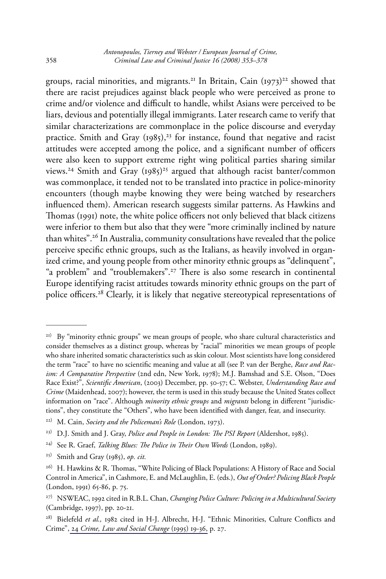groups, racial minorities, and migrants.<sup>21</sup> In Britain, Cain (1973)<sup>22</sup> showed that there are racist prejudices against black people who were perceived as prone to crime and/or violence and difficult to handle, whilst Asians were perceived to be liars, devious and potentially illegal immigrants. Later research came to verify that similar characterizations are commonplace in the police discourse and everyday practice. Smith and Gray (1985),<sup>23</sup> for instance, found that negative and racist attitudes were accepted among the police, and a significant number of officers were also keen to support extreme right wing political parties sharing similar views.<sup>24</sup> Smith and Gray (1985)<sup>25</sup> argued that although racist banter/common was commonplace, it tended not to be translated into practice in police-minority encounters (though maybe knowing they were being watched by researchers influenced them). American research suggests similar patterns. As Hawkins and Thomas (1991) note, the white police officers not only believed that black citizens were inferior to them but also that they were "more criminally inclined by nature than whites".<sup>26</sup> In Australia, community consultations have revealed that the police perceive specific ethnic groups, such as the Italians, as heavily involved in organized crime, and young people from other minority ethnic groups as "delinquent", "a problem" and "troublemakers".<sup>27</sup> There is also some research in continental Europe identifying racist attitudes towards minority ethnic groups on the part of police officers.<sup>28</sup> Clearly, it is likely that negative stereotypical representations of

<sup>&</sup>lt;sup>21)</sup> By "minority ethnic groups" we mean groups of people, who share cultural characteristics and consider themselves as a distinct group, whereas by "racial" minorities we mean groups of people who share inherited somatic characteristics such as skin colour. Most scientists have long considered the term "race" to have no scientific meaning and value at all (see P. van der Berghe, Race and Racism: A Comparative Perspective (2nd edn, New York, 1978); M.J. Bamshad and S.E. Olson, "Does Race Exist?", Scientific American, (2003) December, pp. 50-57; C. Webster, Understanding Race and Crime (Maidenhead, 2007); however, the term is used in this study because the United States collect information on "race". Although minority ethnic groups and migrants belong in different "jurisdictions", they constitute the "Others", who have been identified with danger, fear, and insecurity.

<sup>&</sup>lt;sup>22)</sup> M. Cain, Society and the Policeman's Role (London, 1973).

<sup>&</sup>lt;sup>23)</sup> D.J. Smith and J. Gray, *Police and People in London: The PSI Report* (Aldershot, 1985).

<sup>&</sup>lt;sup>24)</sup> See R. Graef, *Talking Blues: The Police in Their Own Words* (London, 1989).

<sup>&</sup>lt;sup>25)</sup> Smith and Gray (1985), op. cit.

<sup>&</sup>lt;sup>26)</sup> H. Hawkins & R. Thomas, "White Policing of Black Populations: A History of Race and Social Control in America", in Cashmore, E. and McLaughlin, E. (eds.), Out of Order? Policing Black People (London, 1991) 65-86, p. 75.

<sup>&</sup>lt;sup>27)</sup> NSWEAC, 1992 cited in R.B.L. Chan, *Changing Police Culture: Policing in a Multicultural Society* (Cambridge, 1997), pp. 20-21.

<sup>&</sup>lt;sup>28)</sup> Bielefeld et al., 1982 cited in H-J. Albrecht, H-J. "Ethnic Minorities, Culture Conflicts and Crime", 24 Crime, Law and Social Change (1995) 19-36, p. 27.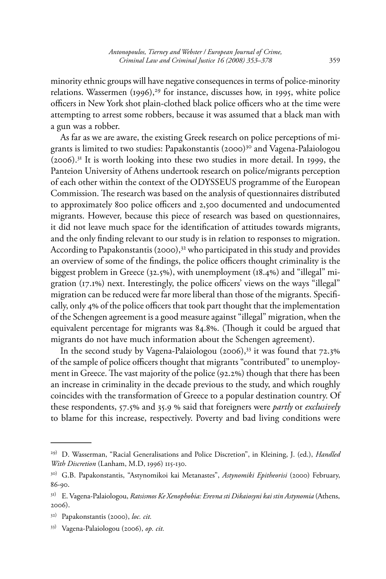minority ethnic groups will have negative consequences in terms of police-minority relations. Wassermen (1996),<sup>29</sup> for instance, discusses how, in 1995, white police officers in New York shot plain-clothed black police officers who at the time were attempting to arrest some robbers, because it was assumed that a black man with a gun was a robber.

As far as we are aware, the existing Greek research on police perceptions of migrants is limited to two studies: Papakonstantis (2000)<sup>30</sup> and Vagena-Palaiologou (2006).<sup>31</sup> It is worth looking into these two studies in more detail. In 1999, the Panteion University of Athens undertook research on police/migrants perception of each other within the context of the ODYSSEUS programme of the European Commission. The research was based on the analysis of questionnaires distributed to approximately 800 police officers and 2,500 documented and undocumented migrants. However, because this piece of research was based on questionnaires, it did not leave much space for the identification of attitudes towards migrants, and the only finding relevant to our study is in relation to responses to migration. According to Papakonstantis (2000),<sup>32</sup> who participated in this study and provides an overview of some of the findings, the police officers thought criminality is the biggest problem in Greece (32.5%), with unemployment (18.4%) and "illegal" migration (17.1%) next. Interestingly, the police officers' views on the ways "illegal" migration can be reduced were far more liberal than those of the migrants. Specifically, only 4% of the police officers that took part thought that the implementation of the Schengen agreement is a good measure against "illegal" migration, when the equivalent percentage for migrants was 84.8%. (Though it could be argued that migrants do not have much information about the Schengen agreement).

In the second study by Vagena-Palaiologou (2006),<sup>33</sup> it was found that 72.3% of the sample of police officers thought that migrants "contributed" to unemployment in Greece. The vast majority of the police (92.2%) though that there has been an increase in criminality in the decade previous to the study, and which roughly coincides with the transformation of Greece to a popular destination country. Of these respondents, 57.5% and 35.9 % said that foreigners were *partly* or *exclusively* to blame for this increase, respectively. Poverty and bad living conditions were

<sup>&</sup>lt;sup>29)</sup> D. Wasserman, "Racial Generalisations and Police Discretion", in Kleining, J. (ed.), *Handled* With Discretion (Lanham, M.D, 1996) 115-130.

<sup>&</sup>lt;sup>30)</sup> G.B. Papakonstantis, "Astynomikoi kai Metanastes", Astynomiki Epitheorisi (2000) February, 86-90.

<sup>&</sup>lt;sup>31)</sup> E. Vagena-Palaiologou, Ratsismos Ke Xenophobia: Erevna sti Dikaiosyni kai stin Astynomia (Athens, 2006).

<sup>32)</sup> Papakonstantis (2000), loc. cit.

<sup>33)</sup> Vagena-Palaiologou (2006), op. cit.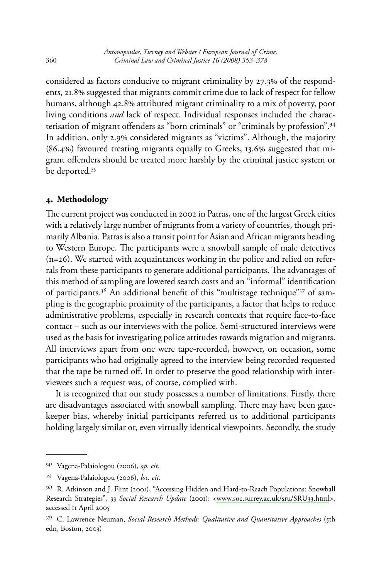considered as factors conducive to migrant criminality by 27.3% of the respondents, 21.8% suggested that migrants commit crime due to lack of respect for fellow humans, although 42.8% attributed migrant criminality to a mix of poverty, poor living conditions and lack of respect. Individual responses included the characterisation of migrant offenders as "born criminals" or "criminals by profession".<sup>34</sup> In addition, only 2.9% considered migrants as "victims". Although, the majority (86.4%) favoured treating migrants equally to Greeks, 13.6% suggested that migrant offenders should be treated more harshly by the criminal justice system or be deported.<sup>35</sup>

## 4. Methodology

The current project was conducted in 2002 in Patras, one of the largest Greek cities with a relatively large number of migrants from a variety of countries, though primarily Albania. Patras is also a transit point for Asian and African migrants heading to Western Europe. The participants were a snowball sample of male detectives (n=26). We started with acquaintances working in the police and relied on referrals from these participants to generate additional participants. The advantages of this method of sampling are lowered search costs and an "informal" identification of participants.<sup>36</sup> An additional benefit of this "multistage technique"<sup>37</sup> of sampling is the geographic proximity of the participants, a factor that helps to reduce administrative problems, especially in research contexts that require face-to-face contact - such as our interviews with the police. Semi-structured interviews were used as the basis for investigating police attitudes towards migration and migrants. All interviews apart from one were tape-recorded, however, on occasion, some participants who had originally agreed to the interview being recorded requested that the tape be turned off. In order to preserve the good relationship with interviewees such a request was, of course, complied with.

It is recognized that our study possesses a number of limitations. Firstly, there are disadvantages associated with snowball sampling. There may have been gatekeeper bias, whereby initial participants referred us to additional participants holding largely similar or, even virtually identical viewpoints. Secondly, the study

<sup>34)</sup> Vagena-Palaiologou (2006), op. cit.

<sup>&</sup>lt;sup>35)</sup> Vagena-Palaiologou (2006), loc. cit.

<sup>&</sup>lt;sup>36)</sup> R. Atkinson and J. Flint (2001), "Accessing Hidden and Hard-to-Reach Populations: Snowball Research Strategies", 33 Social Research Update (2001): <www.soc.surrey.ac.uk/sru/SRU33.html>, accessed II April 2005

<sup>37)</sup> C. Lawrence Neuman, Social Research Methods: Qualitative and Quantitative Approaches (5th edn, Boston, 2003)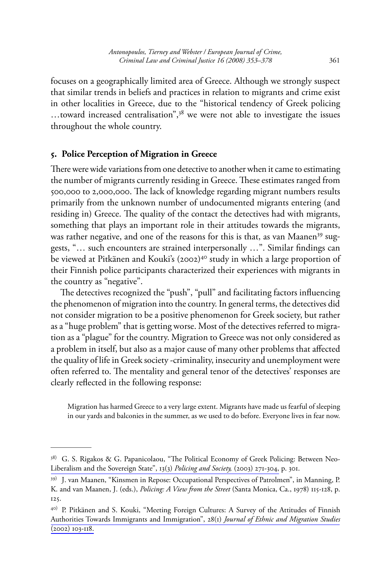focuses on a geographically limited area of Greece. Although we strongly suspect that similar trends in beliefs and practices in relation to migrants and crime exist in other localities in Greece, due to the "historical tendency of Greek policing ...toward increased centralisation",<sup>38</sup> we were not able to investigate the issues throughout the whole country.

# 5. Police Perception of Migration in Greece

There were wide variations from one detective to another when it came to estimating the number of migrants currently residing in Greece. These estimates ranged from 500,000 to 2,000,000. The lack of knowledge regarding migrant numbers results primarily from the unknown number of undocumented migrants entering (and residing in) Greece. The quality of the contact the detectives had with migrants, something that plays an important role in their attitudes towards the migrants, was rather negative, and one of the reasons for this is that, as van Maanen<sup>39</sup> suggests, "... such encounters are strained interpersonally ...". Similar findings can be viewed at Pitkänen and Kouki's (2002)<sup>40</sup> study in which a large proportion of their Finnish police participants characterized their experiences with migrants in the country as "negative".

The detectives recognized the "push", "pull" and facilitating factors influencing the phenomenon of migration into the country. In general terms, the detectives did not consider migration to be a positive phenomenon for Greek society, but rather as a "huge problem" that is getting worse. Most of the detectives referred to migration as a "plague" for the country. Migration to Greece was not only considered as a problem in itself, but also as a major cause of many other problems that affected the quality of life in Greek society -criminality, insecurity and unemployment were often referred to. The mentality and general tenor of the detectives' responses are clearly reflected in the following response:

Migration has harmed Greece to a very large extent. Migrants have made us fearful of sleeping in our yards and balconies in the summer, as we used to do before. Everyone lives in fear now.

<sup>&</sup>lt;sup>38)</sup> G. S. Rigakos & G. Papanicolaou, "The Political Economy of Greek Policing: Between Neo-Liberalism and the Sovereign State", 13(3) Policing and Society, (2003) 271-304, p. 301.

<sup>&</sup>lt;sup>39)</sup> J. van Maanen, "Kinsmen in Repose: Occupational Perspectives of Patrolmen", in Manning, P. K. and van Maanen, J. (eds.), Policing: A View from the Street (Santa Monica, Ca., 1978) 115-128, p. 125.

<sup>&</sup>lt;sup>40)</sup> P. Pitkänen and S. Kouki, "Meeting Foreign Cultures: A Survey of the Attitudes of Finnish Authorities Towards Immigrants and Immigration", 28(1) Journal of Ethnic and Migration Studies  $(2002) 103 - 118.$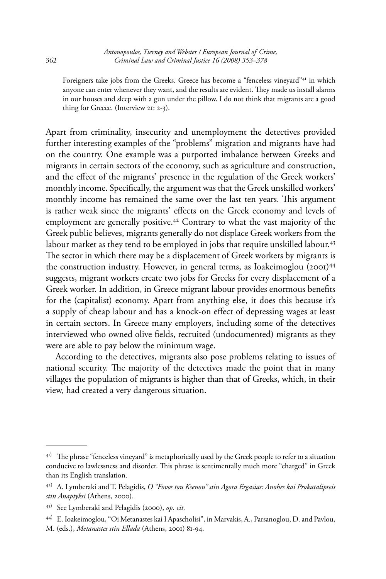Foreigners take jobs from the Greeks. Greece has become a "fenceless vineyard"<sup>41</sup> in which anyone can enter whenever they want, and the results are evident. They made us install alarms in our houses and sleep with a gun under the pillow. I do not think that migrants are a good thing for Greece. (Interview 21: 2-3).

Apart from criminality, insecurity and unemployment the detectives provided further interesting examples of the "problems" migration and migrants have had on the country. One example was a purported imbalance between Greeks and migrants in certain sectors of the economy, such as agriculture and construction, and the effect of the migrants' presence in the regulation of the Greek workers' monthly income. Specifically, the argument was that the Greek unskilled workers' monthly income has remained the same over the last ten years. This argument is rather weak since the migrants' effects on the Greek economy and levels of employment are generally positive.<sup>42</sup> Contrary to what the vast majority of the Greek public believes, migrants generally do not displace Greek workers from the labour market as they tend to be employed in jobs that require unskilled labour.<sup>43</sup> The sector in which there may be a displacement of Greek workers by migrants is the construction industry. However, in general terms, as Ioakeimoglou (2001)<sup>44</sup> suggests, migrant workers create two jobs for Greeks for every displacement of a Greek worker. In addition, in Greece migrant labour provides enormous benefits for the (capitalist) economy. Apart from anything else, it does this because it's a supply of cheap labour and has a knock-on effect of depressing wages at least in certain sectors. In Greece many employers, including some of the detectives interviewed who owned olive fields, recruited (undocumented) migrants as they were are able to pay below the minimum wage.

According to the detectives, migrants also pose problems relating to issues of national security. The majority of the detectives made the point that in many villages the population of migrants is higher than that of Greeks, which, in their view, had created a very dangerous situation.

<sup>&</sup>lt;sup>41)</sup> The phrase "fenceless vineyard" is metaphorically used by the Greek people to refer to a situation conducive to lawlessness and disorder. This phrase is sentimentally much more "charged" in Greek than its English translation.

<sup>42)</sup> A. Lymberaki and T. Pelagidis, O "Fovos tou Ksenou" stin Agora Ergasias: Anohes kai Prokatalipseis stin Anaptyksi (Athens, 2000).

<sup>43)</sup> See Lymberaki and Pelagidis (2000), op. cit.

<sup>&</sup>lt;sup>44)</sup> E. Ioakeimoglou, "Oi Metanastes kai I Apascholisi", in Marvakis, A., Parsanoglou, D. and Pavlou,

M. (eds.), Metanastes stin Ellada (Athens, 2001) 81-94.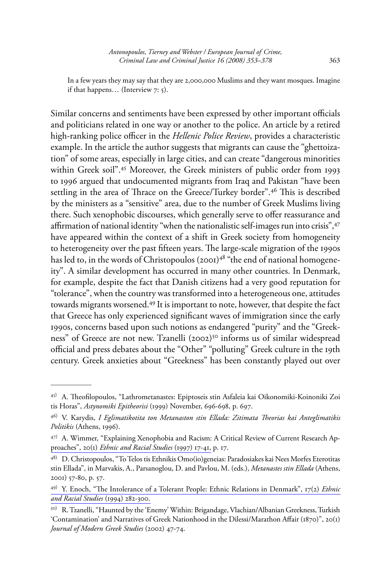In a few years they may say that they are 2,000,000 Muslims and they want mosques. Imagine if that happens... (Interview 7:  $\varsigma$ ).

Similar concerns and sentiments have been expressed by other important officials and politicians related in one way or another to the police. An article by a retired high-ranking police officer in the Hellenic Police Review, provides a characteristic example. In the article the author suggests that migrants can cause the "ghettoization" of some areas, especially in large cities, and can create "dangerous minorities within Greek soil".<sup>45</sup> Moreover, the Greek ministers of public order from 1993 to 1996 argued that undocumented migrants from Iraq and Pakistan "have been settling in the area of Thrace on the Greece/Turkey border".<sup>46</sup> This is described by the ministers as a "sensitive" area, due to the number of Greek Muslims living there. Such xenophobic discourses, which generally serve to offer reassurance and affirmation of national identity "when the nationalistic self-images run into crisis", 47 have appeared within the context of a shift in Greek society from homogeneity to heterogeneity over the past fifteen years. The large-scale migration of the 1990s has led to, in the words of Christopoulos (2001)<sup>48</sup> "the end of national homogeneity". A similar development has occurred in many other countries. In Denmark, for example, despite the fact that Danish citizens had a very good reputation for "tolerance", when the country was transformed into a heterogeneous one, attitudes towards migrants worsened.<sup>49</sup> It is important to note, however, that despite the fact that Greece has only experienced significant waves of immigration since the early 1990s, concerns based upon such notions as endangered "purity" and the "Greekness" of Greece are not new. Tzanelli (2002)<sup>50</sup> informs us of similar widespread official and press debates about the "Other" "polluting" Greek culture in the 19th century. Greek anxieties about "Greekness" has been constantly played out over

<sup>45)</sup> A. Theofilopoulos, "Lathrometanastes: Epiptoseis stin Asfaleia kai Oikonomiki-Koinoniki Zoi tis Horas", Astynomiki Epitheorisi (1999) November, 696-698, p. 697.

<sup>46)</sup> V. Karydis, I Eglimatikotita ton Metanaston stin Ellada: Zitimata Theorias kai Anteglimatikis Politikis (Athens, 1996).

<sup>47)</sup> A. Wimmer, "Explaining Xenophobia and Racism: A Critical Review of Current Research Approaches", 20(1) Ethnic and Racial Studies (1997) 17-41, p. 17.

<sup>48)</sup> D. Christopoulos, "To Telos tis Ethnikis Omo(io)geneias: Paradosiakes kai Nees Morfes Eterotitas stin Ellada", in Marvakis, A., Parsanoglou, D. and Pavlou, M. (eds.), Metanastes stin Ellada (Athens, 2001) 57-80, p. 57.

<sup>&</sup>lt;sup>49)</sup> Y. Enoch, "The Intolerance of a Tolerant People: Ethnic Relations in Denmark", 17(2) Ethnic and Racial Studies (1994) 282-300.

<sup>50)</sup> R. Tzanelli, "Haunted by the 'Enemy' Within: Brigandage, Vlachian/Albanian Greekness, Turkish 'Contamination' and Narratives of Greek Nationhood in the Dilessi/Marathon Affair (1870)", 20(1) Journal of Modern Greek Studies (2002) 47-74.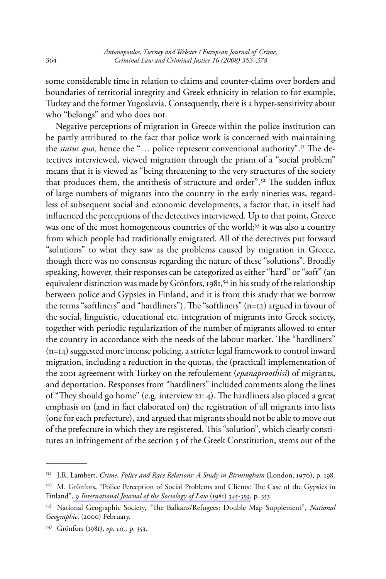some considerable time in relation to claims and counter-claims over borders and boundaries of territorial integrity and Greek ethnicity in relation to for example, Turkey and the former Yugoslavia. Consequently, there is a hyper-sensitivity about who "belongs" and who does not.

Negative perceptions of migration in Greece within the police institution can be partly attributed to the fact that police work is concerned with maintaining the status quo, hence the "... police represent conventional authority".<sup>51</sup> The detectives interviewed, viewed migration through the prism of a "social problem" means that it is viewed as "being threatening to the very structures of the society that produces them, the antithesis of structure and order".<sup>52</sup> The sudden influx of large numbers of migrants into the country in the early nineties was, regardless of subsequent social and economic developments, a factor that, in itself had influenced the perceptions of the detectives interviewed. Up to that point, Greece was one of the most homogeneous countries of the world;<sup>53</sup> it was also a country from which people had traditionally emigrated. All of the detectives put forward "solutions" to what they saw as the problems caused by migration in Greece, though there was no consensus regarding the nature of these "solutions". Broadly speaking, however, their responses can be categorized as either "hard" or "soft" (an equivalent distinction was made by Grönfors, 1981,54 in his study of the relationship between police and Gypsies in Finland, and it is from this study that we borrow the terms "softliners" and "hardliners"). The "softliners" (n=12) argued in favour of the social, linguistic, educational etc. integration of migrants into Greek society, together with periodic regularization of the number of migrants allowed to enter the country in accordance with the needs of the labour market. The "hardliners" (n=14) suggested more intense policing, a stricter legal framework to control inward migration, including a reduction in the quotas, the (practical) implementation of the 2001 agreement with Turkey on the refoulement (epanaproothisi) of migrants, and deportation. Responses from "hardliners" included comments along the lines of "They should go home" (e.g. interview 21: 4). The hardliners also placed a great emphasis on (and in fact elaborated on) the registration of all migrants into lists (one for each prefecture), and argued that migrants should not be able to move out of the prefecture in which they are registered. This "solution", which clearly constitutes an infringement of the section 5 of the Greek Constitution, stems out of the

<sup>&</sup>lt;sup>51)</sup> J.R. Lambert, Crime, Police and Race Relations: A Study in Birmingham (London, 1970), p. 198.

<sup>&</sup>lt;sup>52)</sup> M. Grönfors, "Police Perception of Social Problems and Clients: The Case of the Gypsies in Finland", 9 International Journal of the Sociology of Law (1981) 345-359, p. 353.

National Geographic Society, "The Balkans/Refugees: Double Map Supplement", National 53) Geographic, (2000) February.

<sup>&</sup>lt;sup>54)</sup> Grönfors (1981), *op. cit.*, p. 353.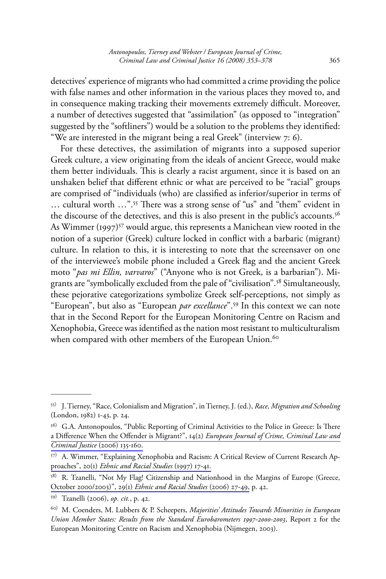detectives' experience of migrants who had committed a crime providing the police with false names and other information in the various places they moved to, and in consequence making tracking their movements extremely difficult. Moreover, a number of detectives suggested that "assimilation" (as opposed to "integration" suggested by the "softliners") would be a solution to the problems they identified: "We are interested in the migrant being a real Greek" (interview 7: 6).

For these detectives, the assimilation of migrants into a supposed superior Greek culture, a view originating from the ideals of ancient Greece, would make them better individuals. This is clearly a racist argument, since it is based on an unshaken belief that different ethnic or what are perceived to be "racial" groups are comprised of "individuals (who) are classified as inferior/superior in terms of ... cultural worth ...".<sup>55</sup> There was a strong sense of "us" and "them" evident in the discourse of the detectives, and this is also present in the public's accounts.<sup>56</sup> As Wimmer (1997)<sup>57</sup> would argue, this represents a Manichean view rooted in the notion of a superior (Greek) culture locked in conflict with a barbaric (migrant) culture. In relation to this, it is interesting to note that the screensaver on one of the interviewee's mobile phone included a Greek flag and the ancient Greek moto "pas mi Ellin, varvaros" ("Anyone who is not Greek, is a barbarian"). Migrants are "symbolically excluded from the pale of "civilisation".<sup>58</sup> Simultaneously, these pejorative categorizations symbolize Greek self-perceptions, not simply as "European", but also as "European *par excellance*".<sup>59</sup> In this context we can note that in the Second Report for the European Monitoring Centre on Racism and Xenophobia, Greece was identified as the nation most resistant to multiculturalism when compared with other members of the European Union.<sup>60</sup>

<sup>&</sup>lt;sup>55)</sup> J. Tierney, "Race, Colonialism and Migration", in Tierney, J. (ed.), Race, Migration and Schooling (London, 1982) 1-43, p. 24.

<sup>&</sup>lt;sup>56)</sup> G.A. Antonopoulos, "Public Reporting of Criminal Activities to the Police in Greece: Is There a Difference When the Offender is Migrant?", 14(2) European Journal of Crime, Criminal Law and Criminal Justice (2006) 135-160.

<sup>57)</sup> A. Wimmer, "Explaining Xenophobia and Racism: A Critical Review of Current Research Approaches", 20(1) Ethnic and Racial Studies (1997) 17-41.

<sup>&</sup>lt;sup>58)</sup> R. Tzanelli, "Not My Flag! Citizenship and Nationhood in the Margins of Europe (Greece, October 2000/2003)", 29(1) Ethnic and Racial Studies (2006) 27-49, p. 42.

<sup>&</sup>lt;sup>59)</sup> Tzanelli (2006), op. cit., p. 42.

<sup>&</sup>lt;sup>60)</sup> M. Coenders, M. Lubbers & P. Scheepers, Majorities' Attitudes Towards Minorities in European Union Member States: Results from the Standard Eurobarometers 1997-2000-2003, Report 2 for the European Monitoring Centre on Racism and Xenophobia (Nijmegen, 2003).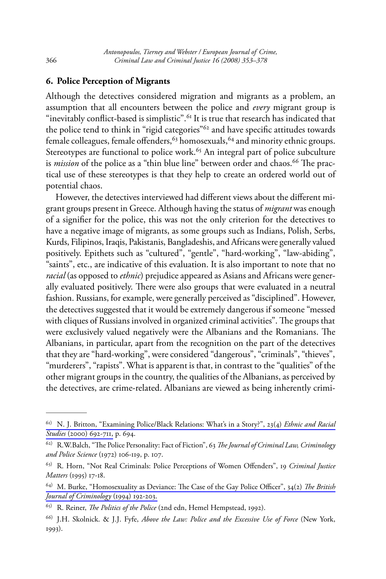### 6. Police Perception of Migrants

Although the detectives considered migration and migrants as a problem, an assumption that all encounters between the police and every migrant group is "inevitably conflict-based is simplistic".<sup>61</sup> It is true that research has indicated that the police tend to think in "rigid categories"<sup>62</sup> and have specific attitudes towards female colleagues, female offenders,<sup>63</sup> homosexuals,<sup>64</sup> and minority ethnic groups. Stereotypes are functional to police work.<sup>65</sup> An integral part of police subculture is mission of the police as a "thin blue line" between order and chaos.<sup>66</sup> The practical use of these stereotypes is that they help to create an ordered world out of potential chaos.

However, the detectives interviewed had different views about the different migrant groups present in Greece. Although having the status of *migrant* was enough of a signifier for the police, this was not the only criterion for the detectives to have a negative image of migrants, as some groups such as Indians, Polish, Serbs, Kurds, Filipinos, Iraqis, Pakistanis, Bangladeshis, and Africans were generally valued positively. Epithets such as "cultured", "gentle", "hard-working", "law-abiding", "saints", etc., are indicative of this evaluation. It is also important to note that no racial (as opposed to ethnic) prejudice appeared as Asians and Africans were generally evaluated positively. There were also groups that were evaluated in a neutral fashion. Russians, for example, were generally perceived as "disciplined". However, the detectives suggested that it would be extremely dangerous if someone "messed with cliques of Russians involved in organized criminal activities". The groups that were exclusively valued negatively were the Albanians and the Romanians. The Albanians, in particular, apart from the recognition on the part of the detectives that they are "hard-working", were considered "dangerous", "criminals", "thieves", "murderers", "rapists". What is apparent is that, in contrast to the "qualities" of the other migrant groups in the country, the qualities of the Albanians, as perceived by the detectives, are crime-related. Albanians are viewed as being inherently crimi-

<sup>&</sup>lt;sup>61)</sup> N. J. Britton, "Examining Police/Black Relations: What's in a Story?", 23(4) Ethnic and Racial Studies (2000) 692-711, p. 694.

<sup>&</sup>lt;sup>62)</sup> R.W.Balch, "The Police Personality: Fact of Fiction", 63 The Journal of Criminal Law, Criminology and Police Science (1972) 106-119, p. 107.

<sup>&</sup>lt;sup>63)</sup> R. Horn, "Not Real Criminals: Police Perceptions of Women Offenders", 19 Criminal Justice Matters (1995) 17-18.

<sup>&</sup>lt;sup>64)</sup> M. Burke, "Homosexuality as Deviance: The Case of the Gay Police Officer",  $34(2)$  The British Journal of Criminology (1994) 192-203.

<sup>&</sup>lt;sup>65)</sup> R. Reiner, *The Politics of the Police* (2nd edn, Hemel Hempstead, 1992).

<sup>&</sup>lt;sup>66)</sup> J.H. Skolnick. & J.J. Fyfe, Above the Law: Police and the Excessive Use of Force (New York, 1993).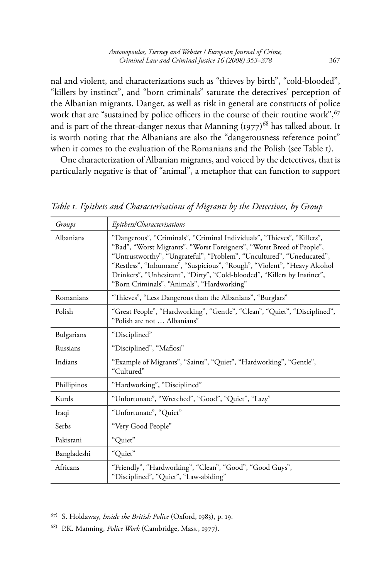nal and violent, and characterizations such as "thieves by birth", "cold-blooded", "killers by instinct", and "born criminals" saturate the detectives' perception of the Albanian migrants. Danger, as well as risk in general are constructs of police work that are "sustained by police officers in the course of their routine work", <sup>67</sup> and is part of the threat-danger nexus that Manning (1977)<sup>68</sup> has talked about. It is worth noting that the Albanians are also the "dangerousness reference point" when it comes to the evaluation of the Romanians and the Polish (see Table I).

One characterization of Albanian migrants, and voiced by the detectives, that is particularly negative is that of "animal", a metaphor that can function to support

| Groups           | Epithets/Characterisations                                                                                                                                                                                                                                                                                                                                                                                                      |
|------------------|---------------------------------------------------------------------------------------------------------------------------------------------------------------------------------------------------------------------------------------------------------------------------------------------------------------------------------------------------------------------------------------------------------------------------------|
| <b>Albanians</b> | "Dangerous", "Criminals", "Criminal Individuals", "Thieves", "Killers",<br>"Bad", "Worst Migrants", "Worst Foreigners", "Worst Breed of People",<br>"Untrustworthy", "Ungrateful", "Problem", "Uncultured", "Uneducated",<br>"Restless", "Inhumane", "Suspicious", "Rough", "Violent", "Heavy Alcohol<br>Drinkers", "Unhesitant", "Dirty", "Cold-blooded", "Killers by Instinct",<br>"Born Criminals", "Animals", "Hardworking" |
| Romanians        | "Thieves", "Less Dangerous than the Albanians", "Burglars"                                                                                                                                                                                                                                                                                                                                                                      |
| Polish           | "Great People", "Hardworking", "Gentle", "Clean", "Quiet", "Disciplined",<br>"Polish are not  Albanians"                                                                                                                                                                                                                                                                                                                        |
| Bulgarians       | "Disciplined"                                                                                                                                                                                                                                                                                                                                                                                                                   |
| Russians         | "Disciplined", "Mafiosi"                                                                                                                                                                                                                                                                                                                                                                                                        |
| Indians          | "Example of Migrants", "Saints", "Quiet", "Hardworking", "Gentle",<br>"Cultured"                                                                                                                                                                                                                                                                                                                                                |
| Phillipinos      | "Hardworking", "Disciplined"                                                                                                                                                                                                                                                                                                                                                                                                    |
| Kurds            | "Unfortunate", "Wretched", "Good", "Quiet", "Lazy"                                                                                                                                                                                                                                                                                                                                                                              |
| Iraqi            | "Unfortunate", "Quiet"                                                                                                                                                                                                                                                                                                                                                                                                          |
| Serbs            | "Very Good People"                                                                                                                                                                                                                                                                                                                                                                                                              |
| Pakistani        | "Quiet"                                                                                                                                                                                                                                                                                                                                                                                                                         |
| Bangladeshi      | "Quiet"                                                                                                                                                                                                                                                                                                                                                                                                                         |
| Africans         | "Friendly", "Hardworking", "Clean", "Good", "Good Guys",<br>"Disciplined", "Quiet", "Law-abiding"                                                                                                                                                                                                                                                                                                                               |

Table I. Epithets and Characterisations of Migrants by the Detectives, by Group

 $(67)$  S. Holdaway, *Inside the British Police* (Oxford, 1983), p. 19.

P.K. Manning, Police Work (Cambridge, Mass., 1977). 68)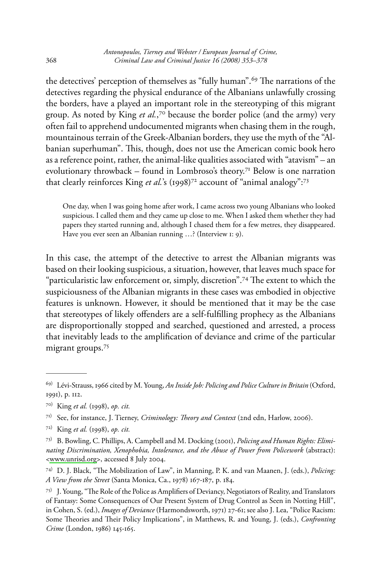the detectives' perception of themselves as "fully human".<sup>69</sup> The narrations of the detectives regarding the physical endurance of the Albanians unlawfully crossing the borders, have a played an important role in the stereotyping of this migrant group. As noted by King et al.,<sup>70</sup> because the border police (and the army) very often fail to apprehend undocumented migrants when chasing them in the rough, mountainous terrain of the Greek-Albanian borders, they use the myth of the "Albanian superhuman". This, though, does not use the American comic book hero as a reference point, rather, the animal-like qualities associated with "atavism" - an evolutionary throwback – found in Lombroso's theory.<sup>71</sup> Below is one narration that clearly reinforces King et al.'s (1998)<sup>72</sup> account of "animal analogy":<sup>73</sup>

One day, when I was going home after work, I came across two young Albanians who looked suspicious. I called them and they came up close to me. When I asked them whether they had papers they started running and, although I chased them for a few metres, they disappeared. Have you ever seen an Albanian running ...? (Interview 1: 9).

In this case, the attempt of the detective to arrest the Albanian migrants was based on their looking suspicious, a situation, however, that leaves much space for "particularistic law enforcement or, simply, discretion".74 The extent to which the suspiciousness of the Albanian migrants in these cases was embodied in objective features is unknown. However, it should be mentioned that it may be the case that stereotypes of likely offenders are a self-fulfilling prophecy as the Albanians are disproportionally stopped and searched, questioned and arrested, a process that inevitably leads to the amplification of deviance and crime of the particular migrant groups.<sup>75</sup>

<sup>&</sup>lt;sup>69)</sup> Lévi-Strauss, 1966 cited by M. Young, An Inside Job: Policing and Police Culture in Britain (Oxford, 1991), p. 112.

<sup>70)</sup> King et al. (1998), op. cit.

<sup>&</sup>lt;sup>71)</sup> See, for instance, J. Tierney, *Criminology: Theory and Context* (2nd edn, Harlow, 2006).

 $72)$  King *et al.* (1998), *op. cit.* 

B. Bowling, C. Phillips, A. Campbell and M. Docking (2001), Policing and Human Rights: Elimi-73) nating Discrimination, Xenophobia, Intolerance, and the Abuse of Power from Policework (abstract): <www.unrisd.org>, accessed 8 July 2004.

<sup>74)</sup> D. J. Black, "The Mobilization of Law", in Manning, P. K. and van Maanen, J. (eds.), *Policing:* A View from the Street (Santa Monica, Ca., 1978) 167-187, p. 184.

<sup>75)</sup> J. Young, "The Role of the Police as Amplifiers of Deviancy, Negotiators of Reality, and Translators of Fantasy: Some Consequences of Our Present System of Drug Control as Seen in Notting Hill", in Cohen, S. (ed.), Images of Deviance (Harmondsworth, 1971) 27-61; see also J. Lea, "Police Racism: Some Theories and Their Policy Implications", in Matthews, R. and Young, J. (eds.), Confronting Crime (London, 1986) 145-165.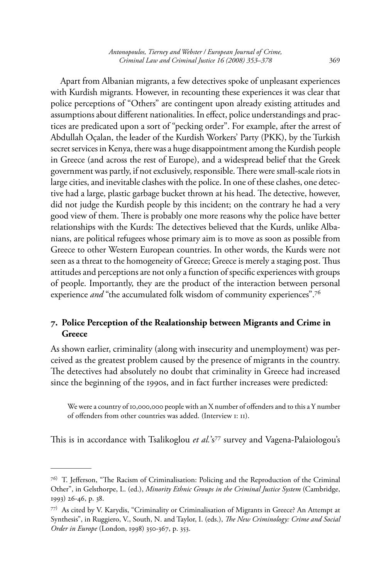Apart from Albanian migrants, a few detectives spoke of unpleasant experiences with Kurdish migrants. However, in recounting these experiences it was clear that police perceptions of "Others" are contingent upon already existing attitudes and assumptions about different nationalities. In effect, police understandings and practices are predicated upon a sort of "pecking order". For example, after the arrest of Abdullah Oçalan, the leader of the Kurdish Workers' Party (PKK), by the Turkish secret services in Kenya, there was a huge disappointment among the Kurdish people in Greece (and across the rest of Europe), and a widespread belief that the Greek government was partly, if not exclusively, responsible. There were small-scale riots in large cities, and inevitable clashes with the police. In one of these clashes, one detective had a large, plastic garbage bucket thrown at his head. The detective, however, did not judge the Kurdish people by this incident; on the contrary he had a very good view of them. There is probably one more reasons why the police have better relationships with the Kurds: The detectives believed that the Kurds, unlike Albanians, are political refugees whose primary aim is to move as soon as possible from Greece to other Western European countries. In other words, the Kurds were not seen as a threat to the homogeneity of Greece; Greece is merely a staging post. Thus attitudes and perceptions are not only a function of specific experiences with groups of people. Importantly, they are the product of the interaction between personal experience and "the accumulated folk wisdom of community experiences".76

### 7. Police Perception of the Realationship between Migrants and Crime in Greece

As shown earlier, criminality (along with insecurity and unemployment) was perceived as the greatest problem caused by the presence of migrants in the country. The detectives had absolutely no doubt that criminality in Greece had increased since the beginning of the 1990s, and in fact further increases were predicted:

We were a country of 10,000,000 people with an X number of offenders and to this a Y number of offenders from other countries was added. (Interview 1: 11).

This is in accordance with Tsalikoglou et al.'s<sup>77</sup> survey and Vagena-Palaiologou's

<sup>&</sup>lt;sup>76)</sup> T. Jefferson, "The Racism of Criminalisation: Policing and the Reproduction of the Criminal Other", in Gelsthorpe, L. (ed.), Minority Ethnic Groups in the Criminal Justice System (Cambridge, 1993) 26-46, p. 38.

<sup>77)</sup> As cited by V. Karydis, "Criminality or Criminalisation of Migrants in Greece? An Attempt at Synthesis", in Ruggiero, V., South, N. and Taylor, I. (eds.), The New Criminology: Crime and Social Order in Europe (London, 1998) 350-367, p. 353.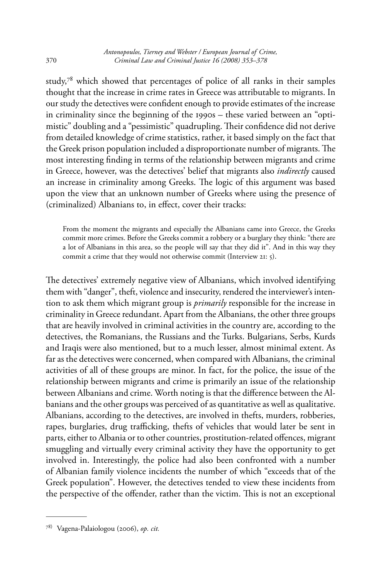study,<sup>78</sup> which showed that percentages of police of all ranks in their samples thought that the increase in crime rates in Greece was attributable to migrants. In our study the detectives were confident enough to provide estimates of the increase in criminality since the beginning of the 1990s - these varied between an "optimistic" doubling and a "pessimistic" quadrupling. Their confidence did not derive from detailed knowledge of crime statistics, rather, it based simply on the fact that the Greek prison population included a disproportionate number of migrants. The most interesting finding in terms of the relationship between migrants and crime in Greece, however, was the detectives' belief that migrants also *indirectly* caused an increase in criminality among Greeks. The logic of this argument was based upon the view that an unknown number of Greeks where using the presence of (criminalized) Albanians to, in effect, cover their tracks:

From the moment the migrants and especially the Albanians came into Greece, the Greeks commit more crimes. Before the Greeks commit a robbery or a burglary they think: "there are a lot of Albanians in this area, so the people will say that they did it". And in this way they commit a crime that they would not otherwise commit (Interview 21: 5).

The detectives' extremely negative view of Albanians, which involved identifying them with "danger", theft, violence and insecurity, rendered the interviewer's intention to ask them which migrant group is *primarily* responsible for the increase in criminality in Greece redundant. Apart from the Albanians, the other three groups that are heavily involved in criminal activities in the country are, according to the detectives, the Romanians, the Russians and the Turks. Bulgarians, Serbs, Kurds and Iraqis were also mentioned, but to a much lesser, almost minimal extent. As far as the detectives were concerned, when compared with Albanians, the criminal activities of all of these groups are minor. In fact, for the police, the issue of the relationship between migrants and crime is primarily an issue of the relationship between Albanians and crime. Worth noting is that the difference between the Albanians and the other groups was perceived of as quantitative as well as qualitative. Albanians, according to the detectives, are involved in thefts, murders, robberies, rapes, burglaries, drug trafficking, thefts of vehicles that would later be sent in parts, either to Albania or to other countries, prostitution-related offences, migrant smuggling and virtually every criminal activity they have the opportunity to get involved in. Interestingly, the police had also been confronted with a number of Albanian family violence incidents the number of which "exceeds that of the Greek population". However, the detectives tended to view these incidents from the perspective of the offender, rather than the victim. This is not an exceptional

<sup>370</sup> 

<sup>78)</sup> Vagena-Palaiologou (2006), op. cit.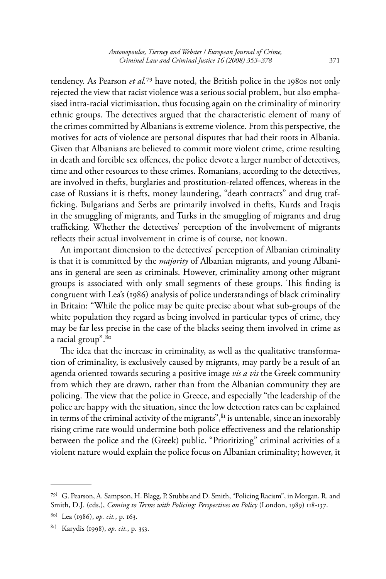tendency. As Pearson et al.<sup>79</sup> have noted, the British police in the 1980s not only rejected the view that racist violence was a serious social problem, but also emphasised intra-racial victimisation, thus focusing again on the criminality of minority ethnic groups. The detectives argued that the characteristic element of many of the crimes committed by Albanians is extreme violence. From this perspective, the motives for acts of violence are personal disputes that had their roots in Albania. Given that Albanians are believed to commit more violent crime, crime resulting in death and forcible sex offences, the police devote a larger number of detectives, time and other resources to these crimes. Romanians, according to the detectives, are involved in thefts, burglaries and prostitution-related offences, whereas in the case of Russians it is thefts, money laundering, "death contracts" and drug trafficking. Bulgarians and Serbs are primarily involved in thefts, Kurds and Iraqis in the smuggling of migrants, and Turks in the smuggling of migrants and drug trafficking. Whether the detectives' perception of the involvement of migrants reflects their actual involvement in crime is of course, not known.

An important dimension to the detectives' perception of Albanian criminality is that it is committed by the *majority* of Albanian migrants, and young Albanians in general are seen as criminals. However, criminality among other migrant groups is associated with only small segments of these groups. This finding is congruent with Lea's (1986) analysis of police understandings of black criminality in Britain: "While the police may be quite precise about what sub-groups of the white population they regard as being involved in particular types of crime, they may be far less precise in the case of the blacks seeing them involved in crime as a racial group".80

The idea that the increase in criminality, as well as the qualitative transformation of criminality, is exclusively caused by migrants, may partly be a result of an agenda oriented towards securing a positive image vis a vis the Greek community from which they are drawn, rather than from the Albanian community they are policing. The view that the police in Greece, and especially "the leadership of the police are happy with the situation, since the low detection rates can be explained in terms of the criminal activity of the migrants",<sup>81</sup> is untenable, since an inexorably rising crime rate would undermine both police effectiveness and the relationship between the police and the (Greek) public. "Prioritizing" criminal activities of a violent nature would explain the police focus on Albanian criminality; however, it

<sup>79)</sup> G. Pearson, A. Sampson, H. Blagg, P. Stubbs and D. Smith, "Policing Racism", in Morgan, R. and Smith, D.J. (eds.), Coming to Terms with Policing: Perspectives on Policy (London, 1989) 118-137.

Lea (1986), op. cit., p. 163.

Karydis (1998), op. cit., p. 353. 81)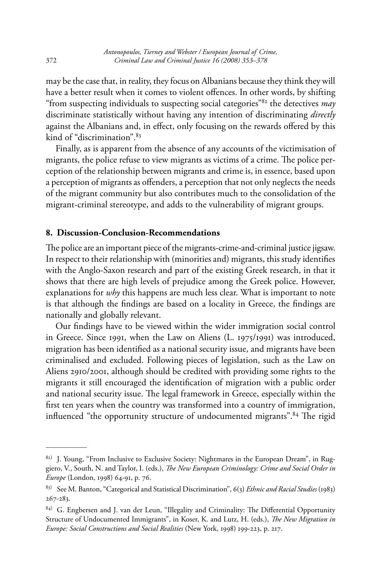may be the case that, in reality, they focus on Albanians because they think they will have a better result when it comes to violent offences. In other words, by shifting "from suspecting individuals to suspecting social categories"<sup>82</sup> the detectives may discriminate statistically without having any intention of discriminating directly against the Albanians and, in effect, only focusing on the rewards offered by this kind of "discrimination".<sup>83</sup>

Finally, as is apparent from the absence of any accounts of the victimisation of migrants, the police refuse to view migrants as victims of a crime. The police perception of the relationship between migrants and crime is, in essence, based upon a perception of migrants as offenders, a perception that not only neglects the needs of the migrant community but also contributes much to the consolidation of the migrant-criminal stereotype, and adds to the vulnerability of migrant groups.

#### 8. Discussion-Conclusion-Recommendations

The police are an important piece of the migrants-crime-and-criminal justice jigsaw. In respect to their relationship with (minorities and) migrants, this study identifies with the Anglo-Saxon research and part of the existing Greek research, in that it shows that there are high levels of prejudice among the Greek police. However, explanations for  $wby$  this happens are much less clear. What is important to note is that although the findings are based on a locality in Greece, the findings are nationally and globally relevant.

Our findings have to be viewed within the wider immigration social control in Greece. Since 1991, when the Law on Aliens (L. 1975/1991) was introduced, migration has been identified as a national security issue, and migrants have been criminalised and excluded. Following pieces of legislation, such as the Law on Aliens 2910/2001, although should be credited with providing some rights to the migrants it still encouraged the identification of migration with a public order and national security issue. The legal framework in Greece, especially within the first ten years when the country was transformed into a country of immigration, influenced "the opportunity structure of undocumented migrants".<sup>84</sup> The rigid

<sup>82)</sup> J. Young, "From Inclusive to Exclusive Society: Nightmares in the European Dream", in Ruggiero, V., South, N. and Taylor, I. (eds.), The New European Criminology: Crime and Social Order in Europe (London, 1998) 64-91, p. 76.

<sup>&</sup>lt;sup>83)</sup> See M. Banton, "Categorical and Statistical Discrimination", 6(3) Ethnic and Racial Studies (1983)  $267 - 283$ 

<sup>84)</sup> G. Engbersen and J. van der Leun, "Illegality and Criminality: The Differential Opportunity Structure of Undocumented Immigrants", in Koser, K. and Lutz, H. (eds.), The New Migration in Europe: Social Constructions and Social Realities (New York, 1998) 199-223, p. 217.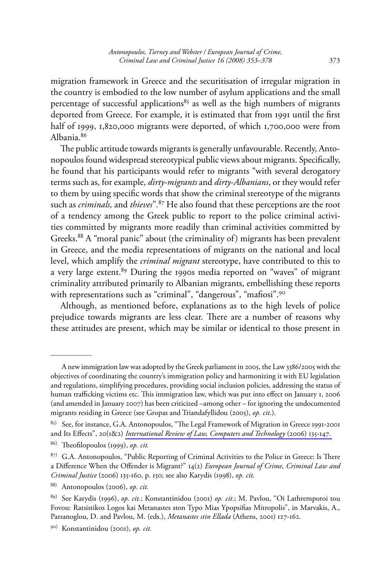migration framework in Greece and the securitisation of irregular migration in the country is embodied to the low number of asylum applications and the small percentage of successful applications<sup>85</sup> as well as the high numbers of migrants deported from Greece. For example, it is estimated that from 1991 until the first half of 1999, 1,820,000 migrants were deported, of which 1,700,000 were from Albania<sup>86</sup>

The public attitude towards migrants is generally unfavourable. Recently, Antonopoulos found widespread stereotypical public views about migrants. Specifically, he found that his participants would refer to migrants "with several derogatory terms such as, for example, dirty-migrants and dirty-Albanians, or they would refer to them by using specific words that show the criminal stereotype of the migrants such as *criminals*, and *thieves*".<sup>87</sup> He also found that these perceptions are the root of a tendency among the Greek public to report to the police criminal activities committed by migrants more readily than criminal activities committed by Greeks.<sup>88</sup> A "moral panic" about (the criminality of) migrants has been prevalent in Greece, and the media representations of migrants on the national and local level, which amplify the *criminal migrant* stereotype, have contributed to this to a very large extent.<sup>89</sup> During the 1990s media reported on "waves" of migrant criminality attributed primarily to Albanian migrants, embellishing these reports with representations such as "criminal", "dangerous", "mafiosi".90

Although, as mentioned before, explanations as to the high levels of police prejudice towards migrants are less clear. There are a number of reasons why these attitudes are present, which may be similar or identical to those present in

A new immigration law was adopted by the Greek parliament in 2005, the Law 3386/2005 with the objectives of coordinating the country's immigration policy and harmonizing it with EU legislation and regulations, simplifying procedures, providing social inclusion policies, addressing the status of human trafficking victims etc. This immigration law, which was put into effect on January 1, 2006 (and amended in January 2007) has been criticized -among other - for ignoring the undocumented migrants residing in Greece (see Gropas and Triandafyllidou (2005), op. cit.).

<sup>85)</sup> See, for instance, G.A. Antonopoulos, "The Legal Framework of Migration in Greece 1991-2001 and Its Effects", 20(1&2) International Review of Law, Computers and Technology (2006) 135-147.

<sup>86)</sup> Theofilopoulos (1999), op. cit.

<sup>87)</sup> G.A. Antonopoulos, "Public Reporting of Criminal Activities to the Police in Greece: Is There a Difference When the Offender is Migrant?" 14(2) European Journal of Crime, Criminal Law and Criminal Justice (2006) 135-160, p. 150; see also Karydis (1998), op. cit.

<sup>88)</sup> Antonopoulos (2006), op. cit.

<sup>89)</sup> See Karydis (1996), op. cit.; Konstantinidou (2001) op. cit.; M. Pavlou, "Oi Lathremporoi tou Fovou: Ratsistikos Logos kai Metanastes ston Typo Mias Ypopsifias Mitropolis", in Marvakis, A., Parsanoglou, D. and Pavlou, M. (eds.), Metanastes stin Ellada (Athens, 2001) 127-162.

<sup>90)</sup> Konstantinidou (2001), op. cit.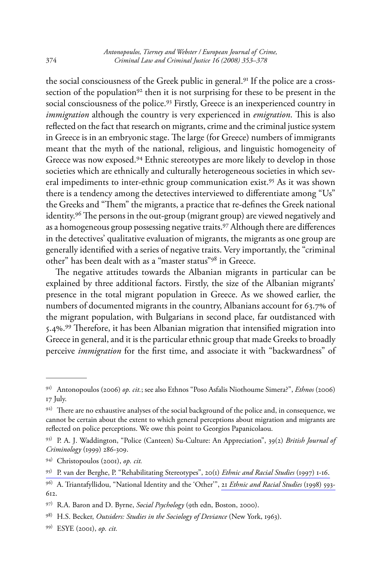the social consciousness of the Greek public in general.<sup>91</sup> If the police are a crosssection of the population<sup>92</sup> then it is not surprising for these to be present in the social consciousness of the police.<sup>93</sup> Firstly, Greece is an inexperienced country in immigration although the country is very experienced in emigration. This is also reflected on the fact that research on migrants, crime and the criminal justice system in Greece is in an embryonic stage. The large (for Greece) numbers of immigrants meant that the myth of the national, religious, and linguistic homogeneity of Greece was now exposed.<sup>94</sup> Ethnic stereotypes are more likely to develop in those societies which are ethnically and culturally heterogeneous societies in which several impediments to inter-ethnic group communication exist.<sup>95</sup> As it was shown there is a tendency among the detectives interviewed to differentiate among "Us" the Greeks and "Them" the migrants, a practice that re-defines the Greek national identity.<sup>96</sup> The persons in the out-group (migrant group) are viewed negatively and as a homogeneous group possessing negative traits.<sup>97</sup> Although there are differences in the detectives' qualitative evaluation of migrants, the migrants as one group are generally identified with a series of negative traits. Very importantly, the "criminal other" has been dealt with as a "master status"<sup>98</sup> in Greece.

The negative attitudes towards the Albanian migrants in particular can be explained by three additional factors. Firstly, the size of the Albanian migrants' presence in the total migrant population in Greece. As we showed earlier, the numbers of documented migrants in the country, Albanians account for 63.7% of the migrant population, with Bulgarians in second place, far outdistanced with 5.4%.<sup>99</sup> Therefore, it has been Albanian migration that intensified migration into Greece in general, and it is the particular ethnic group that made Greeks to broadly perceive *immigration* for the first time, and associate it with "backwardness" of

<sup>91)</sup> Antonopoulos (2006) op. cit.; see also Ethnos "Poso Asfalis Niothoume Simera?", Ethnos (2006) 17 July.

<sup>92)</sup> There are no exhaustive analyses of the social background of the police and, in consequence, we cannot be certain about the extent to which general perceptions about migration and migrants are reflected on police perceptions. We owe this point to Georgios Papanicolaou.

<sup>93)</sup> P. A. J. Waddington, "Police (Canteen) Su-Culture: An Appreciation", 39(2) British Journal of Criminology (1999) 286-309.

 $94)$  Christopoulos (2001), op. cit.

P. van der Berghe, P. "Rehabilitating Stereotypes", 20(1) Ethnic and Racial Studies (1997) 1-16. 95)

<sup>96)</sup> A. Triantafyllidou, "National Identity and the 'Other", 21 Ethnic and Racial Studies (1998) 593-612.

<sup>97)</sup> R.A. Baron and D. Byrne, Social Psychology (9th edn, Boston, 2000).

H.S. Becker, Outsiders: Studies in the Sociology of Deviance (New York, 1963).

<sup>99)</sup> ESYE (2001), op. cit.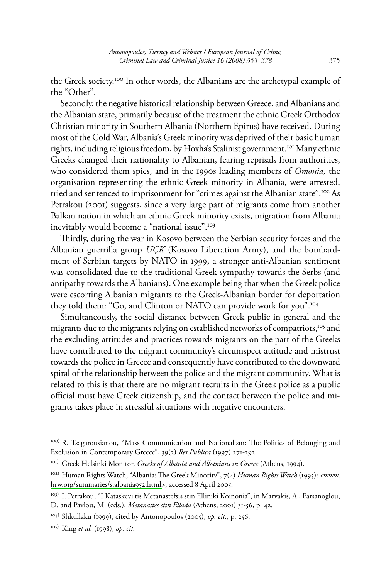the Greek society.<sup>100</sup> In other words, the Albanians are the archetypal example of the "Other".

Secondly, the negative historical relationship between Greece, and Albanians and the Albanian state, primarily because of the treatment the ethnic Greek Orthodox Christian minority in Southern Albania (Northern Epirus) have received. During most of the Cold War, Albania's Greek minority was deprived of their basic human rights, including religious freedom, by Hoxha's Stalinist government.<sup>IOI</sup> Many ethnic Greeks changed their nationality to Albanian, fearing reprisals from authorities, who considered them spies, and in the 1990s leading members of Omonia, the organisation representing the ethnic Greek minority in Albania, were arrested, tried and sentenced to imprisonment for "crimes against the Albanian state".<sup>102</sup> As Petrakou (2001) suggests, since a very large part of migrants come from another Balkan nation in which an ethnic Greek minority exists, migration from Albania inevitably would become a "national issue".<sup>103</sup>

Thirdly, during the war in Kosovo between the Serbian security forces and the Albanian guerrilla group UCK (Kosovo Liberation Army), and the bombardment of Serbian targets by NATO in 1999, a stronger anti-Albanian sentiment was consolidated due to the traditional Greek sympathy towards the Serbs (and antipathy towards the Albanians). One example being that when the Greek police were escorting Albanian migrants to the Greek-Albanian border for deportation they told them: "Go, and Clinton or NATO can provide work for you".<sup>104</sup>

Simultaneously, the social distance between Greek public in general and the migrants due to the migrants relying on established networks of compatriots,<sup>105</sup> and the excluding attitudes and practices towards migrants on the part of the Greeks have contributed to the migrant community's circumspect attitude and mistrust towards the police in Greece and consequently have contributed to the downward spiral of the relationship between the police and the migrant community. What is related to this is that there are no migrant recruits in the Greek police as a public official must have Greek citizenship, and the contact between the police and migrants takes place in stressful situations with negative encounters.

<sup>100)</sup> R. Tsagarousianou, "Mass Communication and Nationalism: The Politics of Belonging and Exclusion in Contemporary Greece", 39(2) Res Publica (1997) 271-292.

<sup>&</sup>lt;sup>101)</sup> Greek Helsinki Monitor, Greeks of Albania and Albanians in Greece (Athens, 1994).

<sup>&</sup>lt;sup>102)</sup> Human Rights Watch, "Albania: The Greek Minority", 7(4) Human Rights Watch (1995): <www. hrw.org/summaries/s.albania952.html>, accessed 8 April 2005.

<sup>&</sup>lt;sup>103)</sup> I. Petrakou, "I Kataskevi tis Metanastefsis stin Elliniki Koinonia", in Marvakis, A., Parsanoglou, D. and Pavlou, M. (eds.), Metanastes stin Ellada (Athens, 2001) 31-56, p. 42.

<sup>&</sup>lt;sup>104)</sup> Shkullaku (1999), cited by Antonopoulos (2005), op. cit., p. 256.

 $105)$  King *et al.* (1998), *op. cit.*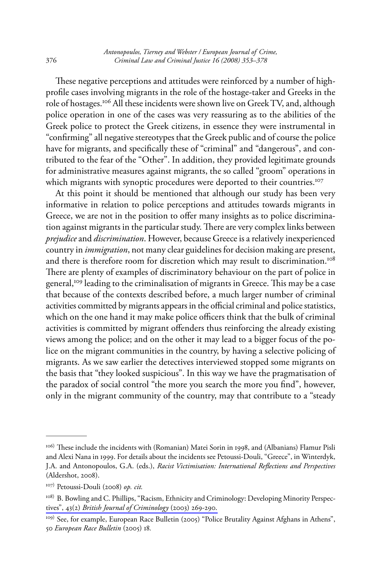These negative perceptions and attitudes were reinforced by a number of highprofile cases involving migrants in the role of the hostage-taker and Greeks in the role of hostages.<sup>106</sup> All these incidents were shown live on Greek TV, and, although police operation in one of the cases was very reassuring as to the abilities of the Greek police to protect the Greek citizens, in essence they were instrumental in "confirming" all negative stereotypes that the Greek public and of course the police have for migrants, and specifically these of "criminal" and "dangerous", and contributed to the fear of the "Other". In addition, they provided legitimate grounds for administrative measures against migrants, the so called "groom" operations in which migrants with synoptic procedures were deported to their countries.<sup>107</sup>

At this point it should be mentioned that although our study has been very informative in relation to police perceptions and attitudes towards migrants in Greece, we are not in the position to offer many insights as to police discrimination against migrants in the particular study. There are very complex links between prejudice and discrimination. However, because Greece is a relatively inexperienced country in *immigration*, not many clear guidelines for decision making are present, and there is therefore room for discretion which may result to discrimination.<sup>108</sup> There are plenty of examples of discriminatory behaviour on the part of police in general,<sup>109</sup> leading to the criminalisation of migrants in Greece. This may be a case that because of the contexts described before, a much larger number of criminal activities committed by migrants appears in the official criminal and police statistics, which on the one hand it may make police officers think that the bulk of criminal activities is committed by migrant offenders thus reinforcing the already existing views among the police; and on the other it may lead to a bigger focus of the police on the migrant communities in the country, by having a selective policing of migrants. As we saw earlier the detectives interviewed stopped some migrants on the basis that "they looked suspicious". In this way we have the pragmatisation of the paradox of social control "the more you search the more you find", however, only in the migrant community of the country, may that contribute to a "steady

<sup>106)</sup> These include the incidents with (Romanian) Matei Sorin in 1998, and (Albanians) Flamur Pisli and Alexi Nana in 1999. For details about the incidents see Petoussi-Douli, "Greece", in Winterdyk, J.A. and Antonopoulos, G.A. (eds.), Racist Victimisation: International Reflections and Perspectives (Aldershot, 2008).

<sup>&</sup>lt;sup>107)</sup> Petoussi-Douli (2008) op. cit.

<sup>&</sup>lt;sup>108)</sup> B. Bowling and C. Phillips, "Racism, Ethnicity and Criminology: Developing Minority Perspectives", 43(2) British Journal of Criminology (2003) 269-290.

<sup>&</sup>lt;sup>109)</sup> See, for example, European Race Bulletin (2005) "Police Brutality Against Afghans in Athens", 50 European Race Bulletin (2005) 18.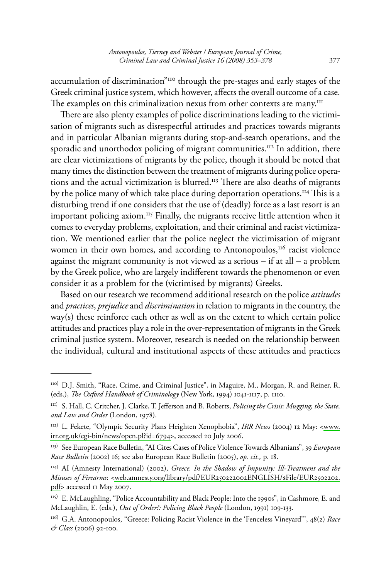accumulation of discrimination"<sup>110</sup> through the pre-stages and early stages of the Greek criminal justice system, which however, affects the overall outcome of a case. The examples on this criminalization nexus from other contexts are many.<sup>III</sup>

There are also plenty examples of police discriminations leading to the victimisation of migrants such as disrespectful attitudes and practices towards migrants and in particular Albanian migrants during stop-and-search operations, and the sporadic and unorthodox policing of migrant communities.<sup>112</sup> In addition, there are clear victimizations of migrants by the police, though it should be noted that many times the distinction between the treatment of migrants during police operations and the actual victimization is blurred.<sup>113</sup> There are also deaths of migrants by the police many of which take place during deportation operations.<sup>114</sup> This is a disturbing trend if one considers that the use of (deadly) force as a last resort is an important policing axiom.<sup>115</sup> Finally, the migrants receive little attention when it comes to everyday problems, exploitation, and their criminal and racist victimization. We mentioned earlier that the police neglect the victimisation of migrant women in their own homes, and according to Antonopoulos,<sup>116</sup> racist violence against the migrant community is not viewed as a serious  $-$  if at all  $-$  a problem by the Greek police, who are largely indifferent towards the phenomenon or even consider it as a problem for the (victimised by migrants) Greeks.

Based on our research we recommend additional research on the police attitudes and practices, prejudice and discrimination in relation to migrants in the country, the way(s) these reinforce each other as well as on the extent to which certain police attitudes and practices play a role in the over-representation of migrants in the Greek criminal justice system. Moreover, research is needed on the relationship between the individual, cultural and institutional aspects of these attitudes and practices

<sup>&</sup>lt;sup>110)</sup> D.J. Smith, "Race, Crime, and Criminal Justice", in Maguire, M., Morgan, R. and Reiner, R. (eds.), The Oxford Handbook of Criminology (New York, 1994) 1041-1117, p. 1110.

<sup>&</sup>lt;sup>III)</sup> S. Hall, C. Critcher, J. Clarke, T. Jefferson and B. Roberts, *Policing the Crisis: Mugging, the State*, and Law and Order (London, 1978).

<sup>&</sup>lt;sup>112)</sup> L. Fekete, "Olympic Security Plans Heighten Xenophobia", IRR News (2004) 12 May: <**www.** irr.org.uk/cgi-bin/news/open.pl?id=6794>, accessed 20 July 2006.

<sup>113)</sup> See European Race Bulletin, "AI Cites Cases of Police Violence Towards Albanians", 39 European Race Bulletin (2002) 16; see also European Race Bulletin (2005), op. cit., p. 18.

<sup>114)</sup> AI (Amnesty International) (2002), Greece. In the Shadow of Impunity: Ill-Treatment and the Misuses of Firearms: < web.amnesty.org/library/pdf/EUR250222002ENGLISH/\$File/EUR2502202. pdf> accessed II May 2007.

<sup>&</sup>lt;sup>115)</sup> E. McLaughling, "Police Accountability and Black People: Into the 1990s", in Cashmore, E. and McLaughlin, E. (eds.), Out of Order?: Policing Black People (London, 1991) 109-133.

<sup>&</sup>lt;sup>116)</sup> G.A. Antonopoulos, "Greece: Policing Racist Violence in the 'Fenceless Vineyard'", 48(2) Race & Class (2006) 92-100.